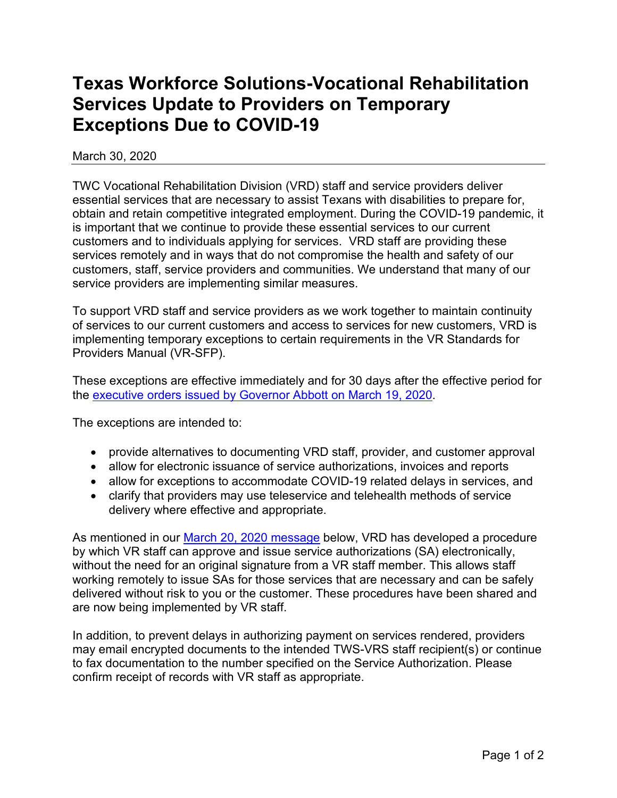## **Texas Workforce Solutions-Vocational Rehabilitation Services Update to Providers on Temporary Exceptions Due to COVID-19**

March 30, 2020

TWC Vocational Rehabilitation Division (VRD) staff and service providers deliver essential services that are necessary to assist Texans with disabilities to prepare for, obtain and retain competitive integrated employment. During the COVID-19 pandemic, it is important that we continue to provide these essential services to our current customers and to individuals applying for services. VRD staff are providing these services remotely and in ways that do not compromise the health and safety of our customers, staff, service providers and communities. We understand that many of our service providers are implementing similar measures.

To support VRD staff and service providers as we work together to maintain continuity of services to our current customers and access to services for new customers, VRD is implementing temporary exceptions to certain requirements in the VR Standards for Providers Manual (VR-SFP).

These exceptions are effective immediately and for 30 days after the effective period for the [executive orders issued by Governor Abbott on March 19, 2020.](https://gov.texas.gov/uploads/files/press/EO-GA_08_COVID-19_preparedness_and_mitigation_FINAL_03-19-2020_1.pdf)

The exceptions are intended to:

- provide alternatives to documenting VRD staff, provider, and customer approval
- allow for electronic issuance of service authorizations, invoices and reports
- allow for exceptions to accommodate COVID-19 related delays in services, and
- clarify that providers may use teleservice and telehealth methods of service delivery where effective and appropriate.

As mentioned in our [March 20, 2020 message](https://twc.texas.gov/files/partners/vr-providers-covid-19-twc.pdf) below, VRD has developed a procedure by which VR staff can approve and issue service authorizations (SA) electronically, without the need for an original signature from a VR staff member. This allows staff working remotely to issue SAs for those services that are necessary and can be safely delivered without risk to you or the customer. These procedures have been shared and are now being implemented by VR staff.

In addition, to prevent delays in authorizing payment on services rendered, providers may email encrypted documents to the intended TWS-VRS staff recipient(s) or continue to fax documentation to the number specified on the Service Authorization. Please confirm receipt of records with VR staff as appropriate.